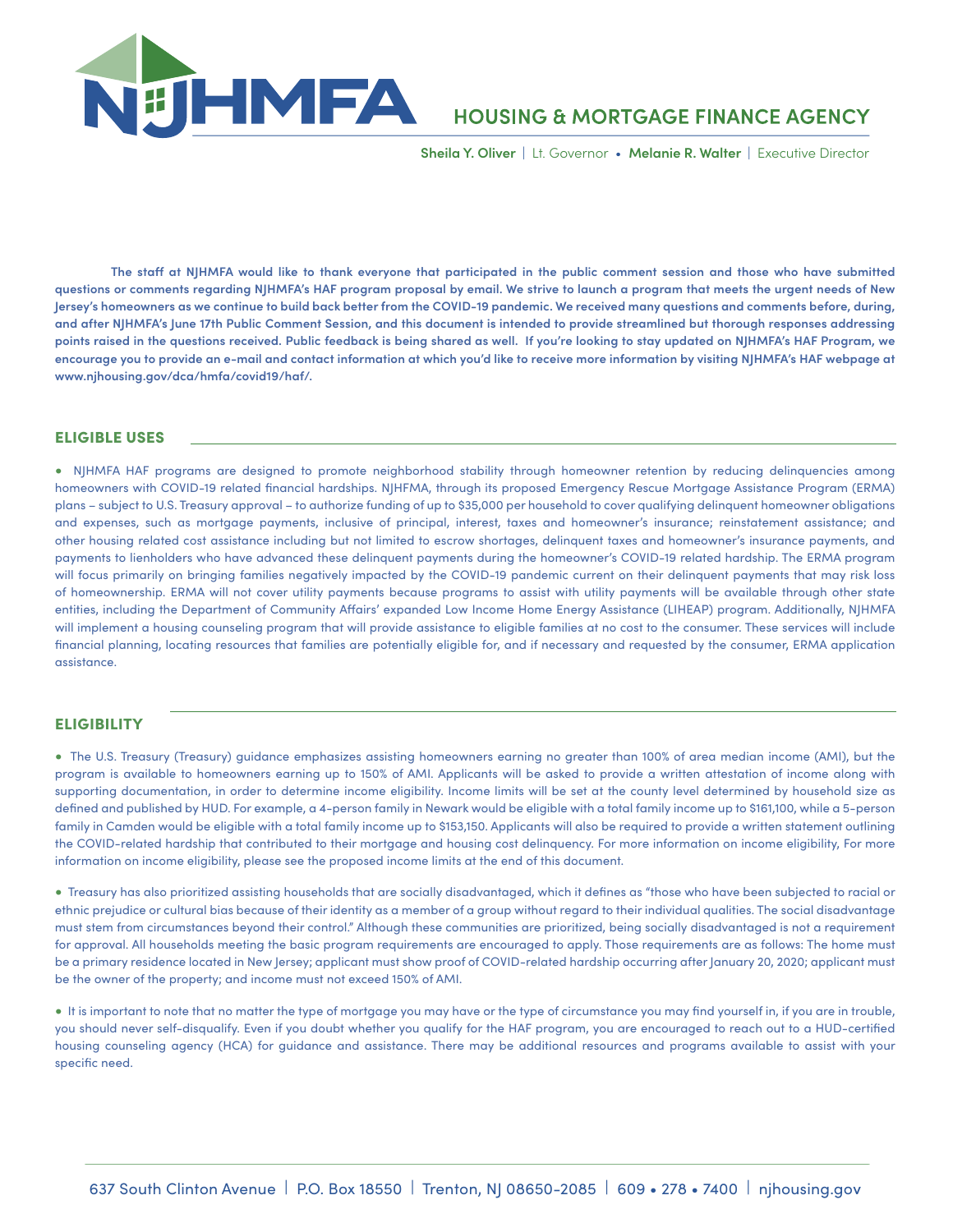

# **HOUSING & MORTGAGE FINANCE AGENCY**

 **Sheila Y. Oliver** | Lt. Governor • **Melanie R. Walter** | Executive Director

**The staff at NJHMFA would like to thank everyone that participated in the public comment session and those who have submitted questions or comments regarding NJHMFA's HAF program proposal by email. We strive to launch a program that meets the urgent needs of New Jersey's homeowners as we continue to build back better from the COVID-19 pandemic. We received many questions and comments before, during, and after NJHMFA's June 17th Public Comment Session, and this document is intended to provide streamlined but thorough responses addressing points raised in the questions received. Public feedback is being shared as well. If you're looking to stay updated on NJHMFA's HAF Program, we encourage you to provide an e-mail and contact information at which you'd like to receive more information by visiting NJHMFA's HAF webpage at www.njhousing.gov/dca/hmfa/covid19/haf/.**

## ELIGIBLE USES

• NJHMFA HAF programs are designed to promote neighborhood stability through homeowner retention by reducing delinquencies among homeowners with COVID-19 related financial hardships. NJHFMA, through its proposed Emergency Rescue Mortgage Assistance Program (ERMA) plans – subject to U.S. Treasury approval – to authorize funding of up to \$35,000 per household to cover qualifying delinquent homeowner obligations and expenses, such as mortgage payments, inclusive of principal, interest, taxes and homeowner's insurance; reinstatement assistance; and other housing related cost assistance including but not limited to escrow shortages, delinquent taxes and homeowner's insurance payments, and payments to lienholders who have advanced these delinquent payments during the homeowner's COVID-19 related hardship. The ERMA program will focus primarily on bringing families negatively impacted by the COVID-19 pandemic current on their delinquent payments that may risk loss of homeownership. ERMA will not cover utility payments because programs to assist with utility payments will be available through other state entities, including the Department of Community Affairs' expanded Low Income Home Energy Assistance (LIHEAP) program. Additionally, NJHMFA will implement a housing counseling program that will provide assistance to eligible families at no cost to the consumer. These services will include financial planning, locating resources that families are potentially eligible for, and if necessary and requested by the consumer, ERMA application assistance.

### **ELIGIBILITY**

• The U.S. Treasury (Treasury) guidance emphasizes assisting homeowners earning no greater than 100% of area median income (AMI), but the program is available to homeowners earning up to 150% of AMI. Applicants will be asked to provide a written attestation of income along with supporting documentation, in order to determine income eligibility. Income limits will be set at the county level determined by household size as defined and published by HUD. For example, a 4-person family in Newark would be eligible with a total family income up to \$161,100, while a 5-person family in Camden would be eligible with a total family income up to \$153,150. Applicants will also be required to provide a written statement outlining the COVID-related hardship that contributed to their mortgage and housing cost delinquency. For more information on income eligibility, For more information on income eligibility, please see the proposed income limits at the end of this document.

• Treasury has also prioritized assisting households that are socially disadvantaged, which it defines as "those who have been subjected to racial or ethnic prejudice or cultural bias because of their identity as a member of a group without regard to their individual qualities. The social disadvantage must stem from circumstances beyond their control." Although these communities are prioritized, being socially disadvantaged is not a requirement for approval. All households meeting the basic program requirements are encouraged to apply. Those requirements are as follows: The home must be a primary residence located in New Jersey; applicant must show proof of COVID-related hardship occurring after January 20, 2020; applicant must be the owner of the property; and income must not exceed 150% of AMI.

• It is important to note that no matter the type of mortgage you may have or the type of circumstance you may find yourself in, if you are in trouble, you should never self-disqualify. Even if you doubt whether you qualify for the HAF program, you are encouraged to reach out to a HUD-certified housing counseling agency (HCA) for guidance and assistance. There may be additional resources and programs available to assist with your specific need.